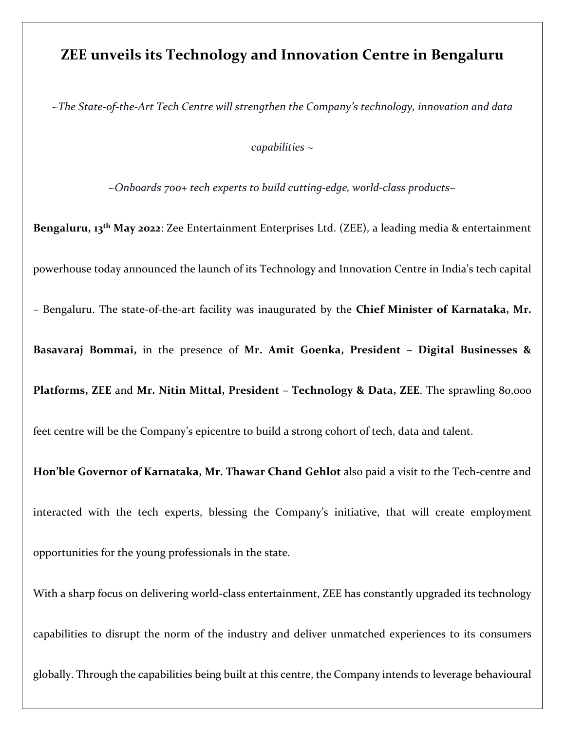## **ZEE unveils its Technology and Innovation Centre in Bengaluru**

*~The State-of-the-Art Tech Centre will strengthen the Company's technology, innovation and data* 

*capabilities ~* 

*~Onboards 700+ tech experts to build cutting-edge, world-class products~*

**Bengaluru, 13th May 2022**: Zee Entertainment Enterprises Ltd. (ZEE), a leading media & entertainment powerhouse today announced the launch of its Technology and Innovation Centre in India's tech capital – Bengaluru. The state-of-the-art facility was inaugurated by the **Chief Minister of Karnataka, Mr. Basavaraj Bommai,** in the presence of **Mr. Amit Goenka, President – Digital Businesses & Platforms, ZEE** and **Mr. Nitin Mittal, President – Technology & Data, ZEE**. The sprawling 80,000 feet centre will be the Company's epicentre to build a strong cohort of tech, data and talent. **Hon'ble Governor of Karnataka, Mr. Thawar Chand Gehlot** also paid a visit to the Tech-centre and interacted with the tech experts, blessing the Company's initiative, that will create employment opportunities for the young professionals in the state. With a sharp focus on delivering world-class entertainment, ZEE has constantly upgraded its technology capabilities to disrupt the norm of the industry and deliver unmatched experiences to its consumers globally. Through the capabilities being built at this centre, the Company intends to leverage behavioural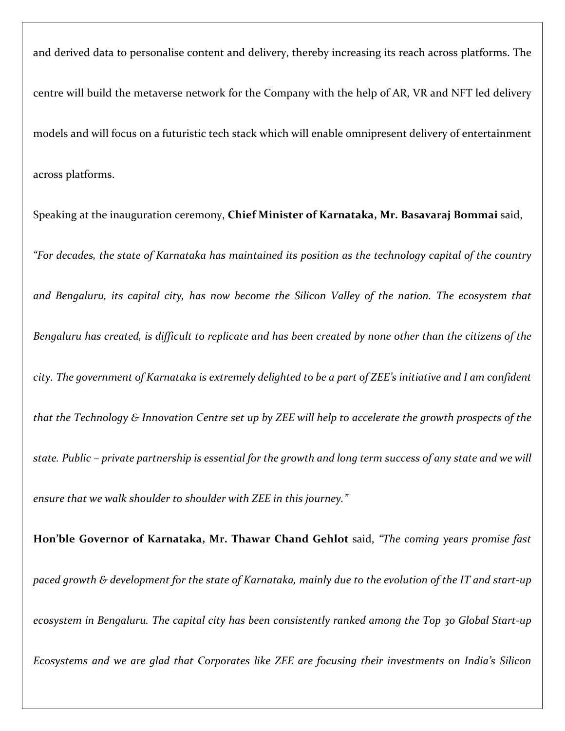and derived data to personalise content and delivery, thereby increasing its reach across platforms. The centre will build the metaverse network for the Company with the help of AR, VR and NFT led delivery models and will focus on a futuristic tech stack which will enable omnipresent delivery of entertainment across platforms.

Speaking at the inauguration ceremony, **Chief Minister of Karnataka, Mr. Basavaraj Bommai** said, *"For decades, the state of Karnataka has maintained its position as the technology capital of the country and Bengaluru, its capital city, has now become the Silicon Valley of the nation. The ecosystem that Bengaluru has created, is difficult to replicate and has been created by none other than the citizens of the city. The government of Karnataka is extremely delighted to be a part of ZEE's initiative and I am confident that the Technology & Innovation Centre set up by ZEE will help to accelerate the growth prospects of the state. Public – private partnership is essential for the growth and long term success of any state and we will ensure that we walk shoulder to shoulder with ZEE in this journey."* 

**Hon'ble Governor of Karnataka, Mr. Thawar Chand Gehlot** said, *"The coming years promise fast paced growth & development for the state of Karnataka, mainly due to the evolution of the IT and start-up ecosystem in Bengaluru. The capital city has been consistently ranked among the Top 30 Global Start-up Ecosystems and we are glad that Corporates like ZEE are focusing their investments on India's Silicon*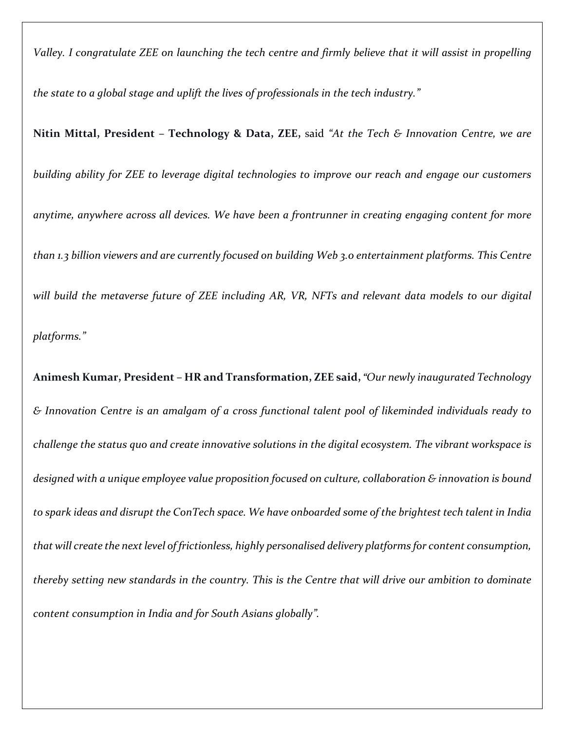*Valley. I congratulate ZEE on launching the tech centre and firmly believe that it will assist in propelling* 

*the state to a global stage and uplift the lives of professionals in the tech industry."*

**Nitin Mittal, President – Technology & Data, ZEE,** said *"At the Tech & Innovation Centre, we are* 

*building ability for ZEE to leverage digital technologies to improve our reach and engage our customers* 

*anytime, anywhere across all devices. We have been a frontrunner in creating engaging content for more than 1.3 billion viewers and are currently focused on building Web 3.0 entertainment platforms. This Centre will build the metaverse future of ZEE including AR, VR, NFTs and relevant data models to our digital* 

*platforms."* 

**Animesh Kumar, President – HR and Transformation, ZEE said,** *"Our newly inaugurated Technology & Innovation Centre is an amalgam of a cross functional talent pool of likeminded individuals ready to challenge the status quo and create innovative solutions in the digital ecosystem. The vibrant workspace is designed with a unique employee value proposition focused on culture, collaboration & innovation is bound to spark ideas and disrupt the ConTech space. We have onboarded some of the brightest tech talent in India that will create the next level of frictionless, highly personalised delivery platforms for content consumption, thereby setting new standards in the country. This is the Centre that will drive our ambition to dominate content consumption in India and for South Asians globally".*